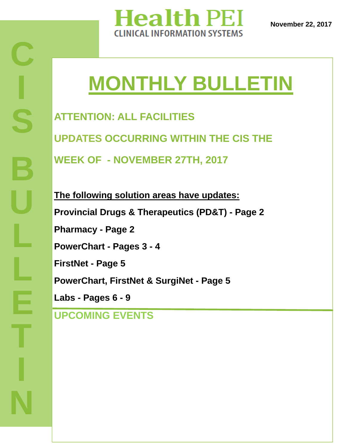

# **MONTHLY BULLETIN**

**ATTENTION: ALL FACILITIES UPDATES OCCURRING WITHIN THE CIS THE WEEK OF - NOVEMBER 27TH, 2017** 

**The following solution areas have updates: Provincial Drugs & Therapeutics (PD&T) - Page 2 Pharmacy - Page 2 PowerChart - Pages 3 - 4 FirstNet - Page 5 PowerChart, FirstNet & SurgiNet - Page 5 Labs - Pages 6 - 9**

### **UPCOMING EVENTS**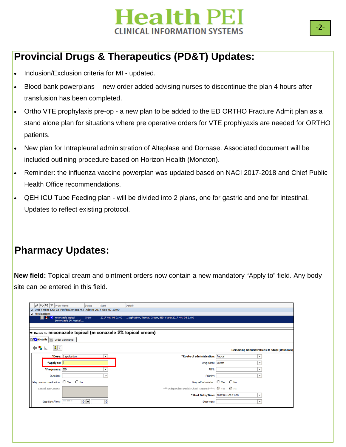

### **Provincial Drugs & Therapeutics (PD&T) Updates:**

- Inclusion/Exclusion criteria for MI updated.
- Blood bank powerplans new order added advising nurses to discontinue the plan 4 hours after transfusion has been completed.
- Ortho VTE prophylaxis pre-op a new plan to be added to the ED ORTHO Fracture Admit plan as a stand alone plan for situations where pre operative orders for VTE prophlyaxis are needed for ORTHO patients.
- New plan for Intrapleural administration of Alteplase and Dornase. Associated document will be included outlining procedure based on Horizon Health (Moncton).
- Reminder: the influenza vaccine powerplan was updated based on NACI 2017-2018 and Chief Public Health Office recommendations.
- QEH ICU Tube Feeding plan will be divided into 2 plans, one for gastric and one for intestinal. Updates to reflect existing protocol.

### **Pharmacy Updates:**

**New field:** Topical cream and ointment orders now contain a new mandatory "Apply to" field. Any body site can be entered in this field.

| 8 ⊙   吗   ♡   Order Name                                                     |                                                                 | <b>Status</b> | Start             | Details                                                      |  |                                                     |  |  |
|------------------------------------------------------------------------------|-----------------------------------------------------------------|---------------|-------------------|--------------------------------------------------------------|--|-----------------------------------------------------|--|--|
|                                                                              | △ Unit 4 QEH; 422; 2a FIN/ENC:04481753 Admit: 2017-Sep-07 10:00 |               |                   |                                                              |  |                                                     |  |  |
| ⊿ Medications                                                                |                                                                 |               |                   |                                                              |  |                                                     |  |  |
| $\mathbf x$                                                                  | miconazole topical<br>(miconazole 2% topical                    | Order         | 2017-Nov-08 21:00 | 1 application, Topical, Cream, BID, Start: 2017-Nov-08 21:00 |  |                                                     |  |  |
|                                                                              |                                                                 |               |                   |                                                              |  |                                                     |  |  |
| $\Sigma$ Details for <b>miconazole topical (miconazole 2% topical cream)</b> |                                                                 |               |                   |                                                              |  |                                                     |  |  |
| Details   Order Comments                                                     |                                                                 |               |                   |                                                              |  |                                                     |  |  |
| J ≫<br>ᆃၭ⊪                                                                   |                                                                 |               |                   |                                                              |  | <b>Remaining Administrations: 0 Stop: (Unknown)</b> |  |  |
|                                                                              | *Dose: 1 application                                            |               | $\checkmark$      | *Route of administration: Topical                            |  | $\check{~}$                                         |  |  |
| *Apply to:                                                                   |                                                                 |               |                   | Drug Form: Cream                                             |  | $\check{}$                                          |  |  |
| *Frequency: BID                                                              |                                                                 |               | $\checkmark$      | PRN:                                                         |  | $\checkmark$                                        |  |  |
| Duration:                                                                    |                                                                 |               | $\checkmark$      | Priority:                                                    |  | $\checkmark$                                        |  |  |
|                                                                              | May use own medication: C Yes C No                              |               |                   | May self administer: O Yes O No                              |  |                                                     |  |  |
| Special Instructions:                                                        |                                                                 |               |                   | *** Independent Double Check Required ***: C Yes C No        |  |                                                     |  |  |
|                                                                              |                                                                 |               |                   | *Start Date/Time: 2017-Nov-08 21:00                          |  | $\checkmark$                                        |  |  |
| Stop Date/Time:                                                              |                                                                 | $\div$ -      | ÷                 | Stop type:                                                   |  | $\checkmark$                                        |  |  |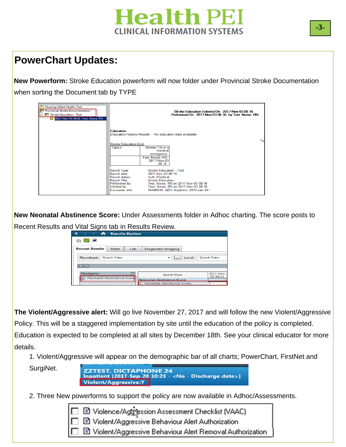

#### **PowerChart Updates:**

**New Powerform:** Stroke Education powerform will now folder under Provincial Stroke Documentation when sorting the Document tab by TYPE

| Nursing/Allied Health-Text<br>Provincial Stroke Documentation<br>Stroke Education - Text<br>2017-Nov-03 08:16 Test, Nurse, RN - |                                                                                                           | Stroke Education Entered On: 2017-Nov-03 08:16<br>Performed On: 2017-Nov-03 08:16 by Test, Nurse, RN                                                                                                                                       |   |
|---------------------------------------------------------------------------------------------------------------------------------|-----------------------------------------------------------------------------------------------------------|--------------------------------------------------------------------------------------------------------------------------------------------------------------------------------------------------------------------------------------------|---|
|                                                                                                                                 | <b>Education</b>                                                                                          | Education History Results: No education data available.                                                                                                                                                                                    | ъ |
|                                                                                                                                 | <b>Stroke Education Grid</b><br>Topics:                                                                   | Stroke/TIA is a<br>medical<br>emergency<br>Test Nurse, RN-<br>2017-Nov-03<br>08:16                                                                                                                                                         |   |
|                                                                                                                                 | Result Type:<br>Result date:<br><b>Result status:</b><br>Result Title:<br>Verified by:<br>Encounter info: | <b>Stroke Education - Text</b><br>2017-Nov-03 08:16<br>Auth (Verified)<br><b>Stroke Education</b><br>Performed by: Test, Nurse, RN on 2017-Nov-03 08:16<br>Test, Nurse, RN on 2017-Nov-03 08:16<br>04480949, QEH, Inpatient, 2017-Jan-30 - |   |

**New Neonatal Abstinence Score:** Under Assessments folder in Adhoc charting. The score posts to Recent Results and Vital Signs tab in Results Review.

| -<br><b>START OF BUILDING</b><br><b>Results Review</b><br>H              |                                                                |                       |
|--------------------------------------------------------------------------|----------------------------------------------------------------|-----------------------|
| <b>撫區金</b>                                                               |                                                                |                       |
| <b>Recent Results</b><br><b>Vitals</b>                                   | Lab<br>Diagnostic Imaging                                      |                       |
| <b>Ouick View</b><br>Flowsheet:                                          | Level:<br>$\checkmark$<br>$\cdots$                             | <b>Ouick View</b>     |
| <b>STATISTICS</b>                                                        |                                                                |                       |
| <b>Navigator</b><br>Neonatal Abstinence Score<br>$\overline{\mathbf{z}}$ | <b>Ouick View</b>                                              | 2017-Nov-<br>03 08:41 |
|                                                                          | <b>Neonatal Abstinence Score</b><br>Neonatal Abstinence Score. |                       |

**The Violent/Aggressive alert:** Will go live November 27, 2017 and will follow the new Violent/Aggressive Policy. This will be a staggered implementation by site until the education of the policy is completed. Education is expected to be completed at all sites by December 18th. See your clinical educator for more details.

1. Violent/Aggressive will appear on the demographic bar of all charts; PowerChart, FirstNet and

**Pullet** SurgiNet.

Inpatient [2017-Sep-20 10:23 - < No - Discharge date>] **Violent/Aggressive:** 

2. Three New powerforms to support the policy are now available in Adhoc/Assessments.

■ Violence/Agg ession Assessment Checklist (VAAC)<br>■ Violent/Aggressive Behaviour Alert Authorization ■ Violent/Aggressive Behaviour Alert Removal Authorization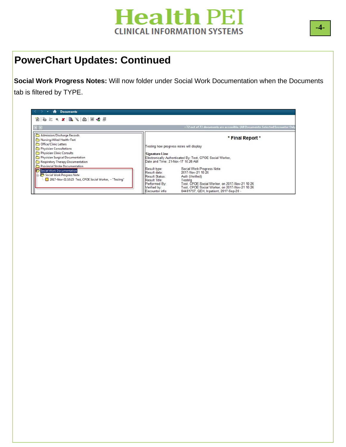

#### **PowerChart Updates: Continued**

**Social Work Progress Notes:** Will now folder under Social Work Documentation when the Documents tab is filtered by TYPE.

| <b>Documents</b><br>Ħ                                                                                                                                                                          |                                                                                                                                                                                                                                                                                                                                                                                         |
|------------------------------------------------------------------------------------------------------------------------------------------------------------------------------------------------|-----------------------------------------------------------------------------------------------------------------------------------------------------------------------------------------------------------------------------------------------------------------------------------------------------------------------------------------------------------------------------------------|
| 12 正   4 X   B ☆   A   H ☆ #                                                                                                                                                                   |                                                                                                                                                                                                                                                                                                                                                                                         |
|                                                                                                                                                                                                | : 72 out of 72 documents are accessible. (All Documents: Selected Encounter Onl                                                                                                                                                                                                                                                                                                         |
| Admission/Discharge Records<br>Nursing/Allied Health-Text<br>Office/Clinic Letters<br>Physician Consultations<br>Physician Clinic Consults<br>Physician Surgical Documentation                 | * Final Report *<br>Testing how progress notes will display<br><b>Signature Line</b><br>Electronically Authenticated By: Test, CPOE Social Worker,                                                                                                                                                                                                                                      |
| Respiratory Therapy Documentation<br>m<br>Provincial Stroke Documentation<br>Social Work Documentation<br>Social Work Progress Note<br>2017-Nov-21 10:25 Test, CPOE Social Worker, - "Testing" | Date and Time: 21-Nov-17 10:26 AM<br>Social Work Progress Note<br>Result type:<br>2017-Nov-21 10:25<br>Result date:<br>Result Status:<br>Auth (Verified)<br>Result Title:<br>Testing<br>Test, CPOE Social Worker, on 2017-Nov-21 10:26<br>Performed By:<br>Test, CPOE Social Worker, on 2017-Nov-21 10:26<br>Verified by:<br>04481797, QEH, Inpatient, 2017-Sep-20 -<br>Encounter info: |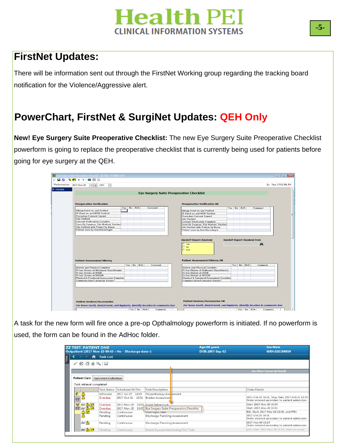#### **FirstNet Updates:**

There will be information sent out through the FirstNet Working group regarding the tracking board notification for the Violence/Aggressive alert.

#### **PowerChart, FirstNet & SurgiNet Updates: QEH Only**

**New! Eye Surgery Suite Preoperative Checklist:** The new Eye Surgery Suite Preoperative Checklist powerform is going to replace the preoperative checklist that is currently being used for patients before going for eye surgery at the QEH.

|                    | *Performed on: 2017-Nov-09<br>H<br>$\div$ - 1453                              |  |            |         |                                                                               | By: Test, CPOE RN, RN |
|--------------------|-------------------------------------------------------------------------------|--|------------|---------|-------------------------------------------------------------------------------|-----------------------|
| <b>D</b> Checklist |                                                                               |  |            |         | <b>Eye Surgery Suite Preoperative Checklist</b>                               |                       |
|                    | <b>Preoperative Verification</b>                                              |  |            |         | <b>Preoperative Verification OR</b>                                           |                       |
|                    |                                                                               |  | Yes No N/A | Comment | Yes No N/A<br>Comment                                                         |                       |
|                    | Allergy Band on and Verified                                                  |  |            |         | Allergy Band on and Verified                                                  |                       |
|                    | ID Band on and MRN Verified                                                   |  |            |         | ID Band on and MRN Verified                                                   |                       |
|                    | <b>Procedure Consent Signed</b>                                               |  |            |         | <b>Procedure Consent Signed</b>                                               |                       |
|                    | <b>Site Verified</b>                                                          |  |            |         | <b>Site Verified</b>                                                          |                       |
|                    | <b>Consent Verification Complete</b>                                          |  |            |         | <b>Consent Verification Complete</b>                                          |                       |
|                    | Seen By Surgeon, Site Marked, Verified<br>Site Verified with Patient by Nurse |  |            |         | Seen By Surgeon, Site Marked, Verified                                        |                       |
|                    | Patient seen by Anesthesiologist                                              |  |            |         | Site Verified with Patient by Nurse<br>Patient seen by Anesthesiologist       |                       |
|                    |                                                                               |  |            |         |                                                                               |                       |
|                    |                                                                               |  |            |         | O No<br>O N/A                                                                 |                       |
|                    | <b>Patient Assessment/History</b>                                             |  |            |         | <b>Patient Assessment/History OR</b>                                          |                       |
|                    |                                                                               |  | Yes No N/A | Comment | Yes No N/A<br>Comment                                                         |                       |
|                    | <b>History and Physical Complete</b>                                          |  |            |         | <b>History and Physical Complete</b>                                          |                       |
|                    | Pt has History of Malignant Hyperthermia                                      |  |            |         | Pt has History of Malignant Hyperthermia                                      |                       |
|                    | Pt has History of IDDM<br>Pt has History of NIDDM                             |  |            |         | Pt has History of IDDM<br>Pt has History of NIDDM                             |                       |
|                    | Physical & Emotional Assessment Complete                                      |  |            |         | <b>Physical &amp; Emotional Assessment Complete</b>                           |                       |
|                    | Communication/Language Barrier?                                               |  |            |         | Communication/Language Barrier?                                               |                       |
|                    |                                                                               |  |            |         |                                                                               |                       |
|                    | <b>Patient Devices/Accessories</b>                                            |  |            |         | <b>Patient Devices/Accessories OR</b>                                         |                       |
|                    | For loose teeth, dental work, and implants, identify location in comments box |  |            |         | For loose teeth, dental work, and implants, identify location in comments box |                       |

**QEH**  used, the form can be found in the AdHoc folder. A task for the new form will fire once a pre-op Opthalmology powerform is initiated. If no powerform is

| <b>ZZ TEST, PATIENT ONE</b>             |                  |                                                                     |                                                            | Age:60 years    | Sex:Male                                                                                        |
|-----------------------------------------|------------------|---------------------------------------------------------------------|------------------------------------------------------------|-----------------|-------------------------------------------------------------------------------------------------|
|                                         |                  | Outpatient [2017-Nov-10 09:43- <no -="" date="" discharge="">]</no> |                                                            | DOB:1957-Sep-02 | MRN:010199859                                                                                   |
| Menu                                    | <b>Task List</b> |                                                                     |                                                            |                 |                                                                                                 |
| 人名海自马即                                  |                  |                                                                     |                                                            |                 |                                                                                                 |
|                                         |                  |                                                                     |                                                            |                 | (no time frame defined)                                                                         |
| <b>Patient Care</b> Specimen Collection |                  |                                                                     |                                                            |                 |                                                                                                 |
| Task retrieval completed                |                  |                                                                     |                                                            |                 |                                                                                                 |
|                                         | Task Status      | Scheduled Dt/Tm                                                     | <b>Task Description</b>                                    |                 | Order Details                                                                                   |
|                                         | InProcess        | 2017-Jul-27 14:15                                                   | Physiotherapy Ass <sub>25</sub> sment                      |                 |                                                                                                 |
| $\frac{2}{3}$<br>$\mathcal{C}$          | Overdue          | 2017-Oct-31<br>10:51                                                | <b>Braden Assessment</b>                                   |                 | 2017-Oct-31 10:51, Stop Date 2017-Oct-31 10:51<br>Order entered secondary to patient admission. |
| <b>YO GO'AG!</b>                        | Overdue          | 2017-Nov-20 10:05 Insert Saline Lock                                |                                                            |                 | Start: 2017-Nov-20 10:05                                                                        |
| <b>图 66 AD</b>                          | Overdue          |                                                                     | 2017-Nov-20 10:05 Eye Surgery Suite Preoperative Checklist |                 | Start: 2017-Nov-20 10:05                                                                        |
| ad<br>A                                 | Pending          | Continuous                                                          | Vital Signs Task                                           |                 | BID, Start: 2017-May-19 13:59, and PRN                                                          |
|                                         | Pending          | Continuous                                                          | Discharge Planning Assessment                              |                 | 2017-Oct-31 10:51<br>Order entered secondary to patient admission.                              |
| $66 \triangle$                          | Pending          | Continuous                                                          | Discharge Planning Assessment                              |                 | 2017-Nov-09 10:17<br>Order entered secondary to patient admission.                              |
| $66 \text{ N}$                          | Pending          | Continuous                                                          | Blood Glucose Monitoring POC Task                          |                 | q2h, Start: 2017-Nov-20 10:05, Start on arrival                                                 |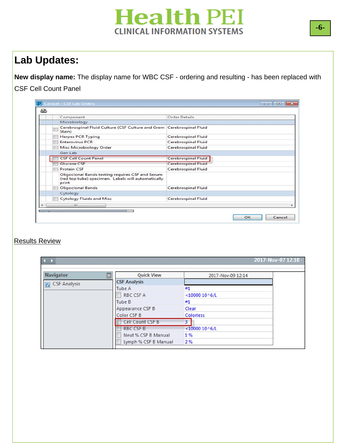### **Lab Updates:**

**New display name:** The display name for WBC CSF - ordering and resulting - has been replaced with CSF Cell Count Panel

| Component                                                                                                       | <b>Order Details</b>       |
|-----------------------------------------------------------------------------------------------------------------|----------------------------|
| Microbiology                                                                                                    |                            |
| Cerebrospinal Fluid Culture (CSF Culture and Gram   Cerebrospinal Fluid<br>Stain)                               |                            |
| <b>Herpes PCR Typing</b>                                                                                        | <b>Cerebrospinal Fluid</b> |
| <b>Enterovirus PCR</b>                                                                                          | <b>Cerebrospinal Fluid</b> |
| <b>Misc Microbiology Order</b>                                                                                  | <b>Cerebrospinal Fluid</b> |
| Gen Lab                                                                                                         |                            |
| <b>CSF Cell Count Panel</b>                                                                                     | <b>Cerebrospinal Fluid</b> |
| <b>Glucose CSF</b>                                                                                              | <b>Cerebrospinal Fluid</b> |
| <b>Protein CSF</b>                                                                                              | <b>Cerebrospinal Fluid</b> |
| Oligoclonal Bands testing requires CSF and Serum<br>(red top tube) specimen. Labels will automatically<br>print |                            |
| <b>Oligoclonal Bands</b>                                                                                        | <b>Cerebrospinal Fluid</b> |
| Cytology                                                                                                        |                            |
| <b>Cytology Fluids and Misc</b>                                                                                 | <b>Cerebrospinal Fluid</b> |
| m.                                                                                                              |                            |
|                                                                                                                 |                            |

#### **Results Review**

| Navigator    | <b>Quick View</b>    | 2017-Nov-09 12:14 |
|--------------|----------------------|-------------------|
| CSF Analysis | <b>CSF Analysis</b>  |                   |
|              | Tube A               | #1                |
|              | <b>RBC CSF A</b>     | $< 1000010$ ^6/L  |
|              | Tube B               | #1                |
|              | Appearance CSF B     | <b>Clear</b>      |
|              | Color CSF B          | <b>Colorless</b>  |
|              | Cell Count CSF B     | $\overline{3}$    |
|              | <b>RBC CSF B</b>     | $<$ 10000 10^6/L  |
|              | Neut % CSF B Manual  | 1 %               |
|              | Lymph % CSF B Manual | 2 %               |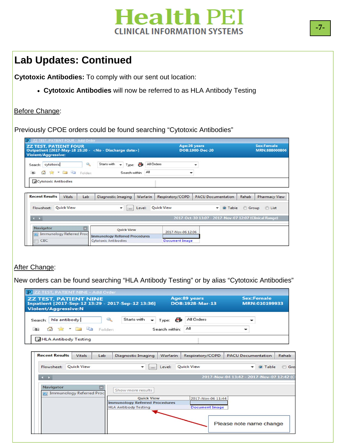### **Lab Updates: Continued**

**Cytotoxic Antibodies:** To comply with our sent out location:

**Cytotoxic Antibodies** will now be referred to as HLA Antibody Testing

#### Before Change:

Previously CPOE orders could be found searching "Cytotoxic Antibodies"

| <b>ZZ TEST. PATIENT FOUR</b><br>Outpatient [2017-May-18 15:20 - < No - Discharge date>]<br><b>Violent/Aggressive:</b> |                                                                            | Age:36 years      | <b>DOB:1980-Dec-20</b>                                 | <b>Sex:Female</b><br>MRN:888000806 |
|-----------------------------------------------------------------------------------------------------------------------|----------------------------------------------------------------------------|-------------------|--------------------------------------------------------|------------------------------------|
| Search: cytotoxic<br>$\frac{1}{2}$ $\frac{1}{2}$ Folder:<br>$\uparrow$<br><b>Call</b>                                 | Starts with<br>Q.<br>Type: $\bigoplus$<br>$\cdot$<br>All<br>Search within: | All Orders        |                                                        |                                    |
| Cytotoxic Antibodies                                                                                                  |                                                                            |                   |                                                        |                                    |
|                                                                                                                       |                                                                            |                   |                                                        |                                    |
| <b>Recent Results</b><br>Lab<br>Vitals                                                                                | Warfarin<br><b>Diagnostic Imaging</b>                                      | Respiratory/COPD  | <b>PACU Documentation</b>                              | Rehab<br><b>Pharmacy View</b>      |
| <b>Quick View</b><br>Flowsheet:                                                                                       | Level:<br>▼<br>$\cdots$                                                    | <b>Quick View</b> | O Table<br>۰                                           | <b>Group</b><br>C List             |
| $\leftarrow$                                                                                                          |                                                                            |                   | 2017-Oct-30 13:07 - 2017-Nov-07 12:07 (Clinical Range) |                                    |

#### After Change:

New orders can be found searching "HLA Antibody Testing" or by alias "Cytotoxic Antibodies"

| <b>ZZ TEST. PATIENT NINE</b><br>Inpatient [2017-Sep-12 13:29 - 2017-Sep-12 13:36]<br><b>Violent/Aggressive:N</b> |                                                                      | Age:89 years<br><b>DOB:1928-Mar-13</b>     | <b>Sex:Female</b><br>MRN:010199933        |
|------------------------------------------------------------------------------------------------------------------|----------------------------------------------------------------------|--------------------------------------------|-------------------------------------------|
| hla antibody<br>$\mathbb{R}$<br>Search:<br>☆ · ■ ● Folder:<br>$\uparrow$                                         | Starts with<br>Type: 6<br>$\overline{\phantom{0}}$<br>Search within: | All Orders<br>Αll                          |                                           |
| HLA Antibody Testing                                                                                             |                                                                      |                                            |                                           |
| <b>Recent Results</b><br>Vitals<br>Lab                                                                           | <b>Diagnostic Imaging</b><br>Warfarin                                | Respiratory/COPD                           | <b>PACU Documentation</b><br>Rehab        |
| <b>Ouick View</b><br>Flowsheet:                                                                                  | Level:<br>$\cdots$                                                   | <b>Ouick View</b>                          | O Table<br>$\odot$                        |
| $\leftarrow$                                                                                                     |                                                                      |                                            | 2017-Nov-04 13:42 - 2017-Nov-07 12:42 (C) |
| <b>Navigator</b><br>Immunology Referred Proc                                                                     | Show more results<br><b>Ouick View</b>                               |                                            |                                           |
|                                                                                                                  | <b>Immunology Referred Procedures</b><br><b>HLA Antibody Testing</b> | 2017-Nov-06 11:44<br><b>Document Image</b> |                                           |
|                                                                                                                  |                                                                      |                                            | Please note name change                   |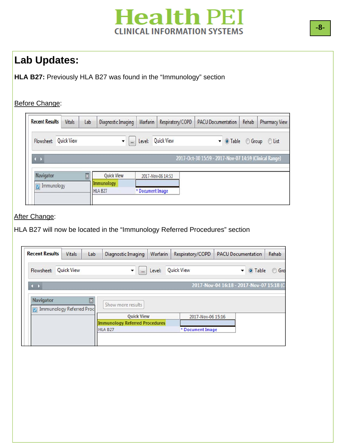### **Lab Updates:**

**HLA B27:** Previously HLA B27 was found in the "Immunology" section

#### Before Change:

| Vitals | Lab                             |                   | Warfarin   | Respiratory/COPD   |                                                            | Rehab                     | <b>Pharmacy View</b>                                                                 |
|--------|---------------------------------|-------------------|------------|--------------------|------------------------------------------------------------|---------------------------|--------------------------------------------------------------------------------------|
|        |                                 | <br>▼             | Level:     |                    |                                                            |                           | <b>O</b> List                                                                        |
|        |                                 |                   |            |                    |                                                            |                           |                                                                                      |
|        |                                 | <b>Quick View</b> |            |                    |                                                            |                           |                                                                                      |
|        |                                 | HLA B27           |            |                    |                                                            |                           |                                                                                      |
|        | <b>Quick View</b><br>Immunology |                   | Immunology | Diagnostic Imaging | <b>Quick View</b><br>2017-Nov-06 14:53<br>* Document Image | <b>PACU Documentation</b> | $\bullet$ O Table<br>Group<br>2017-Oct-30 15:59 - 2017-Nov-07 14:59 (Clinical Range) |

#### **After Change:**

HLA B27 will now be located in the "Immunology Referred Procedures" section

| <b>Vitals</b>     | Lab | Diagnostic Imaging       | Warfarin | Respiratory/COPD                                           |                   |                   | Rehab                                                                                 |
|-------------------|-----|--------------------------|----------|------------------------------------------------------------|-------------------|-------------------|---------------------------------------------------------------------------------------|
| <b>Quick View</b> |     | $\dddot{\phantom{0}}$    | Level:   |                                                            |                   |                   | $\circ$<br>Gro                                                                        |
|                   |     |                          |          |                                                            |                   |                   |                                                                                       |
|                   |     | Show more results        |          |                                                            |                   |                   |                                                                                       |
|                   |     |                          |          |                                                            |                   |                   |                                                                                       |
|                   |     | HLA B27                  |          | * Document Image                                           |                   |                   |                                                                                       |
|                   |     | Immunology Referred Proc |          | <b>Quick View</b><br><b>Immunology Referred Procedures</b> | <b>Quick View</b> | 2017-Nov-06 15:16 | <b>PACU Documentation</b><br>O Table<br>▾<br>2017-Nov-04 16:18 - 2017-Nov-07 15:18 (C |